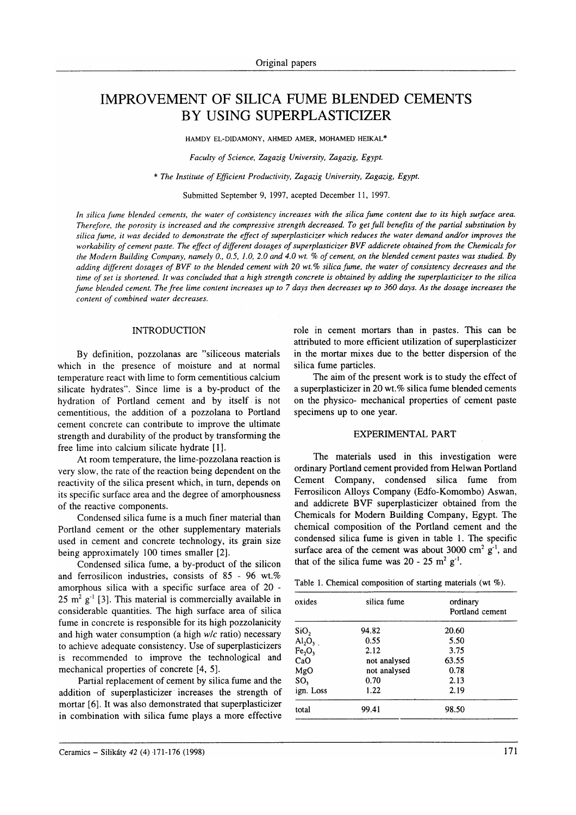# IMPROVEMENT OF SILICA FUME BLENDED CEMENTS BY USING SUPERPLASTICIZER

HAMDY EL-DIDAMONY, AHMED AMER, MOHAMED HEIKAL\*

Faculty of Science, Zagazig University, Zagazig, Egypt.

\* The Institute of Efficient Productivity, Zagazig University, Zagazig, Egypt.

Submitted September 9, 1997, acepted December 11, 1997.

In silica fume blended cements, the water of consistency increases with the silica fume content due to its high surface area. Therefore, the porosity is increased and the compressive strength decreased. To get full benefits of the partial substitution by silica fume, it was decided to demonstrate the effect of superplasticizer which reduces the water demand and/or improves the workability of cement paste. The effect of different dosages of superplasticizer BVF addicrete obtained from the Chemicals for the Modern Building Company, namely 0., 0.5, 1.0, 2.0 and 4.0 wt. % of cement, on the blended cement pastes was studied. By adding different dosages of BVF to the blended cement with 20 wt.% silica fume, the water of consistency decreases and the time of set is shortened. It was conciuded that a high strength concrete is obtained by adding the superplasticizer to the silica fume blended cement. The free lime content increases up to 7 days then decreases up to 360 days. As the dosage increases the content of combined water decreases.

# INTRODUCTION

By definition, pozzolanas are "siliceous materials which in the presence of moisture and at normal temperature react with lime to form cernentitious calcium silicate hydrates". Since lime is a by-product of the hydration of Portland cement and by itself is not cementitious, the addition of a pozzolana to Portland cement concrete can contribute to improve the ultimate strength and durability of the product by transforming the free lime into calcium silicate hydrate [1].

At room temperature, the lime-pozzolana reaction is very slow, the rate of the reaction being dependent on the reactivity of the silica present which, in turn, depends on its specific surface area and the degree of amorphousness of the reactive components.

Condensed silica fume is a much finer material than Portland cement or the other supplementary materials used in cement and concrete technology, its grain size being approximately 100 times smaller [2].

Condensed silica fume, a by-product of the silicon and ferrosilicon industries, consists of  $85 - 96$  wt.% amorphous silica with a specific surface area of 20 -  $25 \text{ m}^2$  g<sup>-1</sup> [3]. This material is commercially available in considerable quantities. The high surface area of silica fume in concrete is responsible for its high pozzolanicity and high water consumption (a high  $w/c$  ratio) necessary to achieve adequate consistency. Use of superplasticizers is recommended to improve the technological and mechanical properties of concrete [4, 5].

Partial replacement of cement by silica fume and the addition of superplasticizer increases the strength of mortar [6]. It was also demonstrated that superplasticizer in combination with silica fume plays a more effective

role in cement mortars than in pastes. This can be attributed to more efficient utilization of superplasticizer in the mortar mixes due to the better dispersion of the silica fume particles.

The aim of the present work is to study the effect of a superplasticizer in 20 wt.% silica fume blended cements on the physico- mechanical properties of cement paste specimens up to one year.

# EXPERIMENTAL PART

The materials used in this investigation were ordinary Portland cement provided from Helwan Portland Cement Company, condensed silica fume from Ferrosilicon Alloys Company (Edfo-Komombo) Aswan, and addicrete BVF superplasticizer obtained from the Chemicals for Modern Building Company, Egypt. The chemical composition of the Portland cement and the condensed silica fume is given in table 1. The specific surface area of the cement was about 3000 cm<sup>2</sup> g<sup>-1</sup>, and that of the silica fume was  $20 - 25$  m<sup>2</sup> g<sup>-1</sup>.

Table 1. Chemical composition of starting materials (wt  $\%$ ).

| oxides                         | silica fume  | ordinary<br>Portland cement |
|--------------------------------|--------------|-----------------------------|
| SiO <sub>2</sub>               | 94.82        | 20.60                       |
| Al <sub>2</sub> O <sub>3</sub> | 0.55         | 5.50                        |
| Fe <sub>2</sub> O <sub>3</sub> | 2.12         | 3.75                        |
| CaO                            | not analysed | 63.55                       |
| MgO                            | not analysed | 0.78                        |
| SO <sub>3</sub>                | 0.70         | 2.13                        |
| ign. Loss                      | 1.22         | 2.19                        |
| total                          | 99.41        | 98.50                       |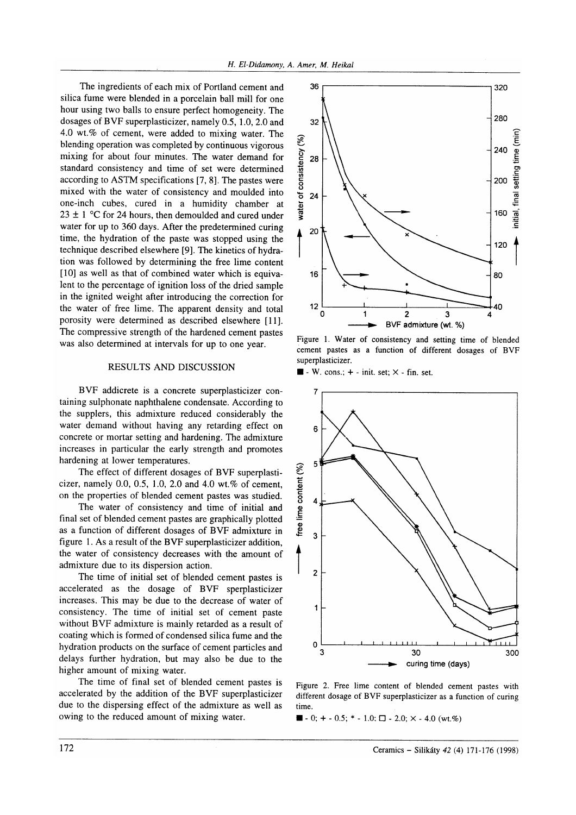The ingredients of each mix of Portland cement and silica fume were blended in a porcelain ball mill for one hour using two balls to ensure perfect homogeneity. The dosages of BVF superplasticizer, namely 0.5, 1.0, 2.0 and 4.0 wt.%o of cement, were added to mixing water. The blending operation was completed by continuous vigorous mixing for about four minutes. The water demand for standard consistency and time of set were determined according to ASTM specifications [7, 8]. The pastes were mixed with the water of consistency and moulded into one-inch cubes, cured in a humidity chamber at  $23 \pm 1$  °C for 24 hours, then demoulded and cured under water for up to 360 days. After the predetermined curing time, the hydration of the paste was stopped using the technique described elsewhere [9]. The kinetics of hydration was followed by determining the free lime content [10] as well as that of combined water which is equivalent to the percentage of ignition loss of the dried sample in the ignited weight after introducing the correction for the water of free lime. The apparent density and total porosity were determined as described elsewhere [11]. The compressive strength of the hardened cement pastes was also determined at intervals for up to one year.

# RESULTS AND DISCUSSION

BVF addicrete is a concrete superplasticizer containing sulphonate naphthalene condensate. According to the supplers, this admixture reduced considerably the water demand without having any retarding effect on concrete or mortar setting and hardening. The admixture increases in particular the early strength and promotes hardening at lower temperatures.

The effect of different dosages of BVF superplasticizer, namely  $0.0, 0.5, 1.0, 2.0$  and  $4.0$  wt.% of cement, on the properties of blended cement pastes was studied.

The water of consistency and time of initial and final set of blended cement pastes are graphically plotted as a function of different dosages of BVF admixture in figure l. As a result of the BVF superplasticizer addition, the water of consistency decreases with the amount of admixture due to its dispersion action.

The time of initial set of blended cement pastes is accelerated as the dosage of BVF sperplasticizer increases. This may be due to the decrease of water of consistency. The time of initial set of cement paste without BVF admixture is mainly retarded as a result of coating which is formed of condensed silica fume and the hydration products on the surface of cement particles and delays further hydration, but may also be due to the higher amount of mixing water.

The time of final set of blended cement pastes is accelerated by the addition of the BVF superplasticizer due to the dispersing effect of the admixture as well as owing to the reduced amount of mixing water.



Figure L Water of consistency and setting time of blended cement pastes as a function of different dosages of BVF superplasticizer.

 $\blacksquare$  - W. cons.; + - init. set;  $\times$  - fin. set.



Figure 2. Free lime content of blended cement pastes with different dosage of BVF superplasticizer as a function of curing time.

 $\blacksquare$  - 0; + - 0.5; \* - 1.0;  $\square$  - 2.0;  $\times$  - 4.0 (wt.%)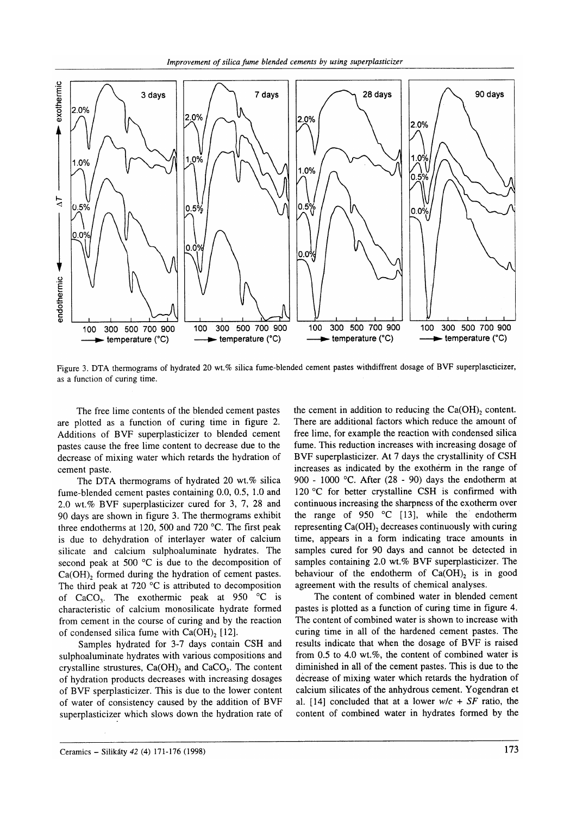

Figure 3. DTA thermograms of hydrated 20 wt.% silica fume-blended cement pastes withdiffrent dosage of BVF superplascticizer, as a function of curing time.

The free lime contents of the blended cement pastes are plotted as a function of curing time in figure 2. Additions of BVF superplasticizer to blended cement pastes cause the free lime content to decrease due to the decrease of mixing water which retards the hydration of cement paste.

The DTA thermograms of hydrated 20 wt. $%$  silica fume-blended cement pastes containing 0.0, 0.5, 1.0 and 2.0 wt.% BVF superplasticizer cured for 3, 7, 28 and 90 days are shown in figure 3. The thermograms exhibit three endotherms at 120, 500 and 720 "C. The first peak is due to dehydration of interlayer water of calcium silicate and calcium sulphoaluminate hydrates. The second peak at 500 °C is due to the decomposition of Ca(OH), formed during the hydration of cement pastes. The third peak at 720 $\,^{\circ}\text{C}$  is attributed to decomposition of  $CaCO<sub>3</sub>$ . The exothermic peak at 950  $^{\circ}$ C is characteristic of calcium monosilicate hydrate formed from cement in the course of curing and by the reaction of condensed silica fume with Ca(OH), [12].

Samples hydrated for 3-7 days contain CSH and sulphoaluminate hydrates with various compositions and crystalline strustures,  $Ca(OH)_2$  and  $CaCO_3$ . The content of hydration products decreases with increasing dosages of BVF sperplasticizer. This is due to the lower content of water of consistency caused by the addition of BVF superplasticizer which slows down the hydration rate of the cement in addition to reducing the  $Ca(OH)$ , content. There are additional factors which reduce the amount of free lime, for example the reaction with condensed silica fume. This reduction increases with increasing dosage of BVF superplasticizer. At 7 days the crystallinity of CSH increases as indicated by the exothérm in the range of 900 - 1000 "C. After (28 - 90) days the endotherm at 120 °C for better crystalline CSH is confirmed with continuous increasing the sharpness of the exotherm over the range of 950  $\degree$ C [13], while the endotherm representing Ca(OH), decreases continuously with curing time, appears in a form indicating trace amounts in samples cured for 90 days and cannot be detected in samples containing 2.0 wt.% BVF superplasticizer. The behaviour of the endotherm of Ca(OH), is in good agreement with the results of chemical analyses.

The content of combined water in blended cement pastes is plotted as a function of curing time in figure 4. The content of combined water is shown to increase with curing time in all of the hardened cement pastes. The results indicate that when the dosage of BVF is raised from  $0.5$  to  $4.0$  wt.%, the content of combined water is diminished in all of the cement pastes. This is due to the decrease of mixing water which retards the hydration of calcium silicates of the anhydrous cement. Yogendran et al. [14] concluded that at a lower  $w/c + SF$  ratio, the content of combined water in hydrates formed by the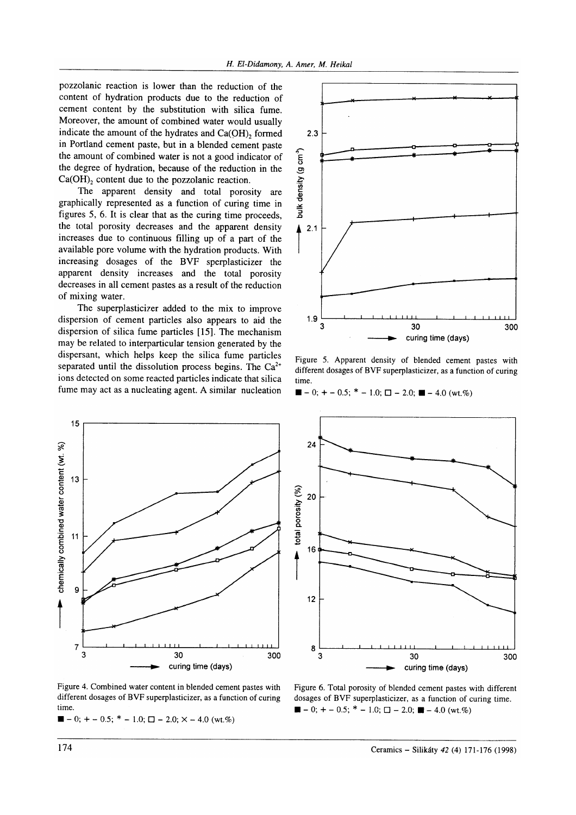pozzolanic reaction is lower than the reduction of the content of hydration products due to the reduction of cement content by the substitution with silica fume. Moreover, the amount of combined water would usually indicate the amount of the hydrates and Ca(OH), formed in Portland cement paste, but in a blended cement paste the amount of combined water is not a good indicator of the degree of hydration, because of the reduction in the  $Ca(OH)_{2}$  content due to the pozzolanic reaction.

The apparent density and total porosity are graphically represented as a function of curing time in figures 5, 6. It is clear that as the curing time proceeds, the total porosity decreases and the apparent density increases due to continuous filling up of a part of the available pore volume with the hydration products. With increasing dosages of the BVF sperplasticizer the apparent density increases and the total porosity decreases in all cement pastes as a result of the reduction of mixing water.

The superplasticizer added to the mix to improve dispersion of cement particles also appears to aid the dispersion of silica fume particles [15]. The mechanism may be related to interparticular tension generated by the dispersant, which helps keep the silica fume particles separated until the dissolution process begins. The  $Ca^{2+}$ ions detected on some reacted particles indicate that silica fume may act as a nucleating agent. A similar nucleation



 $2.3$ bulk density (g cm<sup>3</sup>)  $2.1$ 1.9 300 30 curing time (davs)

Figure 5. Apparent density of blended cement pastes with different dosages of BVF superplasticizer, as a function of curing time

 $\blacksquare$  - 0; + - 0.5; \* - 1.0;  $\Box$  - 2.0;  $\blacksquare$  - 4.0 (wt.%)



Figure 4. Combined water content in blended cement pastes with different dosages of BVF superplasticizer, as a function of curing time.

 $\blacksquare - 0$ ; + - 0.5; \* - 1.0;  $\square$  - 2.0; × - 4.0 (wt.%)

Figure 6. Total porosity of blended cement pastes with different dosages of BVF superplasticizer, as a function of curing time.  $\blacksquare - 0$ ; + - 0.5; \* - 1.0;  $\blacksquare - 2.0$ ;  $\blacksquare - 4.0$  (wt.%)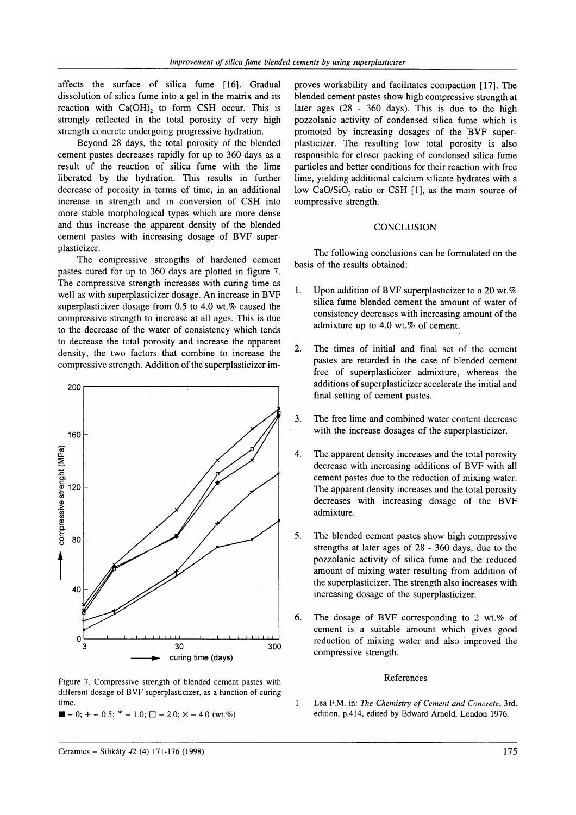affects the surface of silica fume [16]. Gradual dissolution of silica fume into a gel in the matrix and its reaction with  $Ca(OH)$ , to form CSH occur. This is strongly reflected in the total porosity of very high strength concrete undergoing progressive hydration.

Beyond 28 days, the total porosity of the blended cement pastes decreases rapidly for up to 360 days as a result of the reaction of silica fume with the lime liberated by the hydration. This results in further decrease of porosity in terms of time, in an additional increase in strength and in conversion of CSH into more stable morphological types which are more dense and thus increase the apparent density of the blended cement pastes with increasing dosage of BVF superplasticizer.

The compressive strengths of hardened cement pastes cured for up to 360 days are plotted in figure 7. The compressive strength increases with curing time as well as with superplasticizer dosage. An increase in BVF superplasticizer dosage from  $0.5$  to  $4.0$  wt.% caused the compressive strength to increase at all ages. This is due to the decrease of the water of consistency which tends to decrease the total porosity and increase the apparent density, the two factors that combine to increase the compressive strength. Addition of the superplasticizer im-



Figure 7. Compressive strength of blended cement pastes with different dosage of BVF superplasticizer, as a function of curing time.

 $\blacksquare$  - 0; + - 0.5; \* - 1.0;  $\square$  - 2.0; × - 4.0 (wt.%)

proves workability and facilitates compaction [17]. The blended cement pastes show high compressive strength at later ages (28 - 360 days). This is due to the high pozzolanic activity of condensed silica fume which is promoted by increasing dosages of the BVF superplasticizer. The resulting low total porosity is also responsible for closer packing of condensed silica fume particles and better conditions for their reaction with free lime, yielding additional calcium silicate hydrates with a low CaO/SiO, ratio or CSH [1], as the main source of compressive strength.

# **CONCLUSION**

The following conclusions can be formulated on the basis of the results obtained:

- 1. Upon addition of BVF superplasticizer to a 20 wt.% silica fume blended cement the amount of water of consistency decreases with increasing amount of the admixture up to 4.0 wt.% of cement.
- 2. The times of initial and final set of the cement pastes are retarded in the case of blended cement free of superplasticizer admixture, whereas the additions of superplasticizer accelerate the initial and final setting of cement pastes.
- The free lime and combined water content decrease with the increase dosages of the superplasticizer. 3.
- The apparent density increases and the total porosity decrease with increasing additions of BVF with all cement pastes due to the reduction of mixing water. The apparent density increases and the total porosity decreases with increasing dosage of the BVF admixture. 4.
- The blended cement pastes show high compressive strengths at later ages of 28 - 360 days, due to the pozzolanic activity of silica fume and the reduced amount of mixing water resulting from addition of the superplasticizer. The strength also increases with increasing dosage of the superplasticizer. 5.
- The dosage of BVF corresponding to 2 wt.% of cement is a suitable amount which gives good reduction of mixing water and also improved the compressive strength. 6.

#### References

Lea F.M. in: The Chemistry of Cement and Concrete, 3rd. edition, p.4L4, edited by Edward Arnold, London 1976. 1.

## Ceramics - Silikáty 42 (4) 171-176 (1998) 75